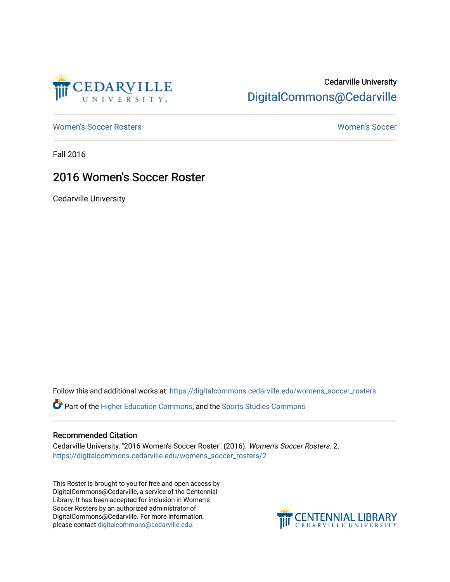

# Cedarville University [DigitalCommons@Cedarville](https://digitalcommons.cedarville.edu/)

[Women's Soccer Rosters](https://digitalcommons.cedarville.edu/womens_soccer_rosters) [Women's Soccer](https://digitalcommons.cedarville.edu/womens_soccer) 

Fall 2016

### 2016 Women's Soccer Roster

Cedarville University

Follow this and additional works at: [https://digitalcommons.cedarville.edu/womens\\_soccer\\_rosters](https://digitalcommons.cedarville.edu/womens_soccer_rosters?utm_source=digitalcommons.cedarville.edu%2Fwomens_soccer_rosters%2F2&utm_medium=PDF&utm_campaign=PDFCoverPages) 

Part of the [Higher Education Commons,](http://network.bepress.com/hgg/discipline/1245?utm_source=digitalcommons.cedarville.edu%2Fwomens_soccer_rosters%2F2&utm_medium=PDF&utm_campaign=PDFCoverPages) and the [Sports Studies Commons](http://network.bepress.com/hgg/discipline/1198?utm_source=digitalcommons.cedarville.edu%2Fwomens_soccer_rosters%2F2&utm_medium=PDF&utm_campaign=PDFCoverPages) 

#### Recommended Citation

Cedarville University, "2016 Women's Soccer Roster" (2016). Women's Soccer Rosters. 2. [https://digitalcommons.cedarville.edu/womens\\_soccer\\_rosters/2](https://digitalcommons.cedarville.edu/womens_soccer_rosters/2?utm_source=digitalcommons.cedarville.edu%2Fwomens_soccer_rosters%2F2&utm_medium=PDF&utm_campaign=PDFCoverPages) 

This Roster is brought to you for free and open access by DigitalCommons@Cedarville, a service of the Centennial Library. It has been accepted for inclusion in Women's Soccer Rosters by an authorized administrator of DigitalCommons@Cedarville. For more information, please contact [digitalcommons@cedarville.edu](mailto:digitalcommons@cedarville.edu).

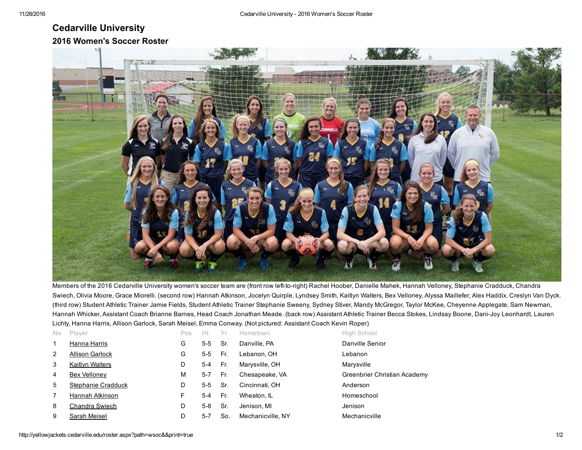## Cedarville University 2016 Women's Soccer Roster



Members of the 2016 Cedarville University women's soccer team are (front row left-to-right) Rachel Hoober, Danielle Mahek, Hannah Velloney, Stephanie Cradduck, Chandra Swiech, Olivia Moore, Grace Miorelli. (second row) Hannah Atkinson, Jocelyn Quirple, Lyndsey Smith, Kaitlyn Walters, Bex Velloney, Alyssa Maillefer, Alex Haddix, Creslyn Van Dyck. (third row) Student Athletic Trainer Jamie Fields, Student Athletic Trainer Stephanie Sweeny, Sydney Stiver, Mandy McGregor, Taylor McKee, Cheyenne Applegate, Sam Newman, Hannah Whicker, Assistant Coach Brianne Barnes, Head Coach Jonathan Meade. (back row) Assistant Athletic Trainer Becca Stokes, Lindsay Boone, Dani-Joy Leonhardt, Lauren Lichty, Hanna Harris, Allison Garlock, Sarah Meisel, Emma Conway. (Not pictured: Assistant Coach Kevin Roper)

| No. | Player                 | Pos | Нt      | Yr  | Hometown          | High School                  |
|-----|------------------------|-----|---------|-----|-------------------|------------------------------|
|     | Hanna Harris           | G   | $5-5$   | Sr. | Danville, PA      | Danville Senior              |
| 2   | <b>Allison Garlock</b> | G   | $5-5$   | Fr. | Lebanon, OH       | Lebanon                      |
| 3   | <b>Kaitlyn Walters</b> | D   | 5-4     | Fr. | Marysville, OH    | Marysville                   |
| 4   | Bex Velloney           | M   | $5 - 7$ | Fr. | Chesapeake, VA    | Greenbrier Christian Academy |
| 5   | Stephanie Cradduck     | D   | 5-5     | Sr. | Cincinnati, OH    | Anderson                     |
|     | Hannah Atkinson        | F   | 5-4     | Fr. | Wheaton, IL       | Homeschool                   |
| 8   | Chandra Swiech         | D   | $5-8$   | Sr. | Jenison, MI       | Jenison                      |
| 9   | Sarah Meisel           | D   | $5-7$   | So. | Mechanicville, NY | Mechanicville                |